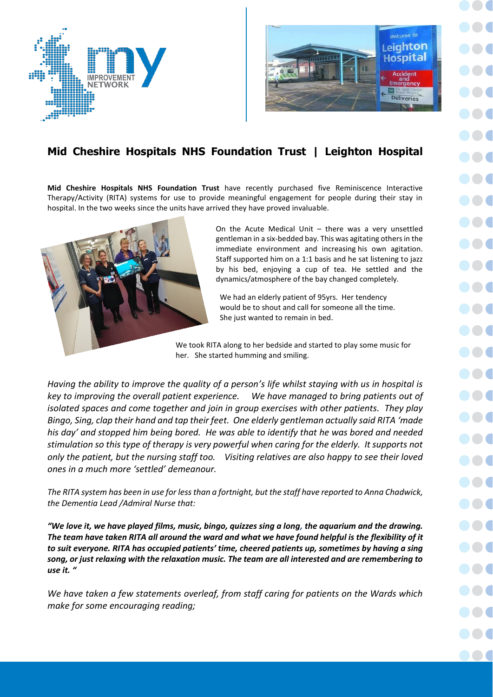



## **Mid Cheshire Hospitals NHS Foundation Trust | Leighton Hospital**

**Mid Cheshire Hospitals NHS Foundation Trust** have recently purchased five Reminiscence Interactive Therapy/Activity (RITA) systems for use to provide meaningful engagement for people during their stay in hospital. In the two weeks since the units have arrived they have proved invaluable.



On the Acute Medical Unit – there was a very unsettled gentleman in a six-bedded bay. This was agitating others in the immediate environment and increasing his own agitation. Staff supported him on a 1:1 basis and he sat listening to jazz by his bed, enjoying a cup of tea. He settled and the dynamics/atmosphere of the bay changed completely.

We had an elderly patient of 95yrs. Her tendency would be to shout and call for someone all the time. She just wanted to remain in bed.

We took RITA along to her bedside and started to play some music for her. She started humming and smiling.

*Having the ability to improve the quality of a person's life whilst staying with us in hospital is key to improving the overall patient experience. We have managed to bring patients out of isolated spaces and come together and join in group exercises with other patients. They play Bingo, Sing, clap their hand and tap their feet. One elderly gentleman actually said RITA 'made his day' and stopped him being bored. He was able to identify that he was bored and needed stimulation so this type of therapy is very powerful when caring for the elderly. It supports not only the patient, but the nursing staff too. Visiting relatives are also happy to see their loved ones in a much more 'settled' demeanour.*

*The RITA system has been in use for less than a fortnight, but the staff have reported to Anna Chadwick, the Dementia Lead /Admiral Nurse that:*

*"We love it, we have played films, music, bingo, quizzes sing a long, the aquarium and the drawing. The team have taken RITA all around the ward and what we have found helpful is the flexibility of it to suit everyone. RITA has occupied patients' time, cheered patients up, sometimes by having a sing song, or just relaxing with the relaxation music. The team are all interested and are remembering to use it. "*

*We have taken a few statements overleaf, from staff caring for patients on the Wards which make for some encouraging reading;*